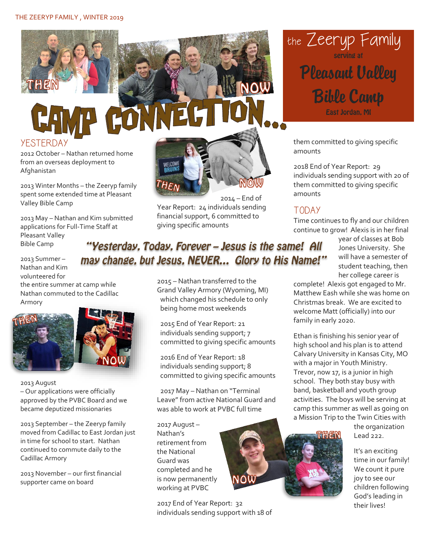

# CAMP COWNEG

**YESTERDAY** 

2012 October – Nathan returned home from an overseas deployment to Afghanistan

2013 Winter Months – the Zeeryp family spent some extended time at Pleasant Valley Bible Camp

2013 May – Nathan and Kim submitted applications for Full-Time Staff at Pleasant Valley Bible Camp

2013 Summer – Nathan and Kim volunteered for

the entire summer at camp while Nathan commuted to the Cadillac Armory



2013 August

– Our applications were officially approved by the PVBC Board and we became deputized missionaries

2013 September – the Zeeryp family moved from Cadillac to East Jordan just in time for school to start. Nathan continued to commute daily to the Cadillac Armory

2013 November – our first financial supporter came on board



2014 – End of Year Report: 24 individuals sending financial support, 6 committed to giving specific amounts

the Zeeryp Family Pleasant Valley Bible Camp East Jordan, MI

them committed to giving specific amounts

2018 End of Year Report: 29 individuals sending support with 20 of them committed to giving specific amounts

#### TODAY

Time continues to fly and our children continue to grow! Alexis is in her final

> year of classes at Bob Jones University. She will have a semester of student teaching, then her college career is

complete! Alexis got engaged to Mr. Matthew Eash while she was home on Christmas break. We are excited to welcome Matt (officially) into our family in early 2020.

Ethan is finishing his senior year of high school and his plan is to attend Calvary University in Kansas City, MO with a major in Youth Ministry. Trevor, now 17, is a junior in high school. They both stay busy with band, basketball and youth group activities. The boys will be serving at camp this summer as well as going on a Mission Trip to the Twin Cities with



the organization Lead 222.

It's an exciting time in our family! We count it pure joy to see our children following God's leading in their lives!

## "Yesterday, Today, Forever - Jesus is the same! All may change, but Jesus, NEVER... Glory to His Name!"

2015 – Nathan transferred to the Grand Valley Armory (Wyoming, MI) which changed his schedule to only being home most weekends

2015 End of Year Report: 21 individuals sending support; 7 committed to giving specific amounts

2016 End of Year Report: 18 individuals sending support; 8 committed to giving specific amounts

2017 May – Nathan on "Terminal Leave" from active National Guard and was able to work at PVBC full time

2017 August – Nathan's retirement from the National Guard was completed and he is now permanently working at PVBC

2017 End of Year Report: 32 individuals sending support with 18 of